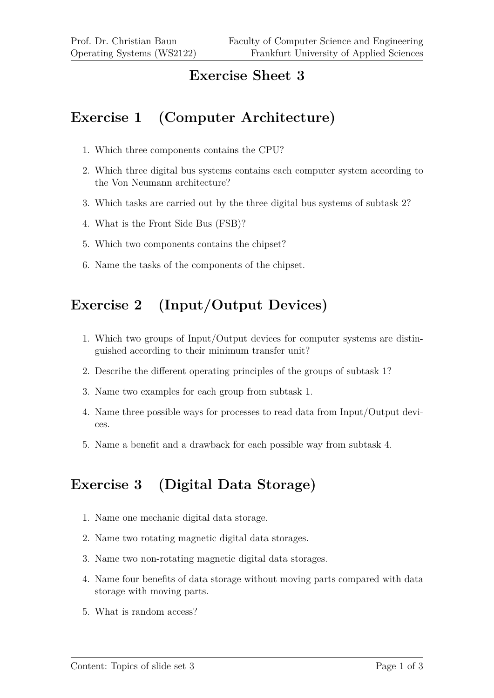#### **Exercise Sheet 3**

## **Exercise 1 (Computer Architecture)**

- 1. Which three components contains the CPU?
- 2. Which three digital bus systems contains each computer system according to the Von Neumann architecture?
- 3. Which tasks are carried out by the three digital bus systems of subtask 2?
- 4. What is the Front Side Bus (FSB)?
- 5. Which two components contains the chipset?
- 6. Name the tasks of the components of the chipset.

# **Exercise 2 (Input/Output Devices)**

- 1. Which two groups of Input/Output devices for computer systems are distinguished according to their minimum transfer unit?
- 2. Describe the different operating principles of the groups of subtask 1?
- 3. Name two examples for each group from subtask 1.
- 4. Name three possible ways for processes to read data from Input/Output devices.
- 5. Name a benefit and a drawback for each possible way from subtask 4.

## **Exercise 3 (Digital Data Storage)**

- 1. Name one mechanic digital data storage.
- 2. Name two rotating magnetic digital data storages.
- 3. Name two non-rotating magnetic digital data storages.
- 4. Name four benefits of data storage without moving parts compared with data storage with moving parts.
- 5. What is random access?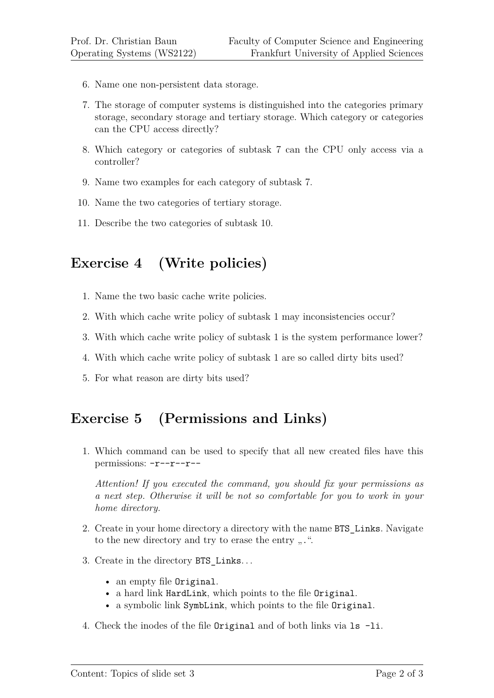- 6. Name one non-persistent data storage.
- 7. The storage of computer systems is distinguished into the categories primary storage, secondary storage and tertiary storage. Which category or categories can the CPU access directly?
- 8. Which category or categories of subtask 7 can the CPU only access via a controller?
- 9. Name two examples for each category of subtask 7.
- 10. Name the two categories of tertiary storage.
- 11. Describe the two categories of subtask 10.

#### **Exercise 4 (Write policies)**

- 1. Name the two basic cache write policies.
- 2. With which cache write policy of subtask 1 may inconsistencies occur?
- 3. With which cache write policy of subtask 1 is the system performance lower?
- 4. With which cache write policy of subtask 1 are so called dirty bits used?
- 5. For what reason are dirty bits used?

## **Exercise 5 (Permissions and Links)**

1. Which command can be used to specify that all new created files have this permissions: -r--r--r--

*Attention! If you executed the command, you should fix your permissions as a next step. Otherwise it will be not so comfortable for you to work in your home directory.*

- 2. Create in your home directory a directory with the name BTS\_Links. Navigate to the new directory and try to erase the entry  $\ldots$ ".
- 3. Create in the directory BTS\_Links. . .
	- an empty file Original.
	- a hard link HardLink, which points to the file Original.
	- a symbolic link SymbLink, which points to the file Original.
- 4. Check the inodes of the file Original and of both links via ls -li.